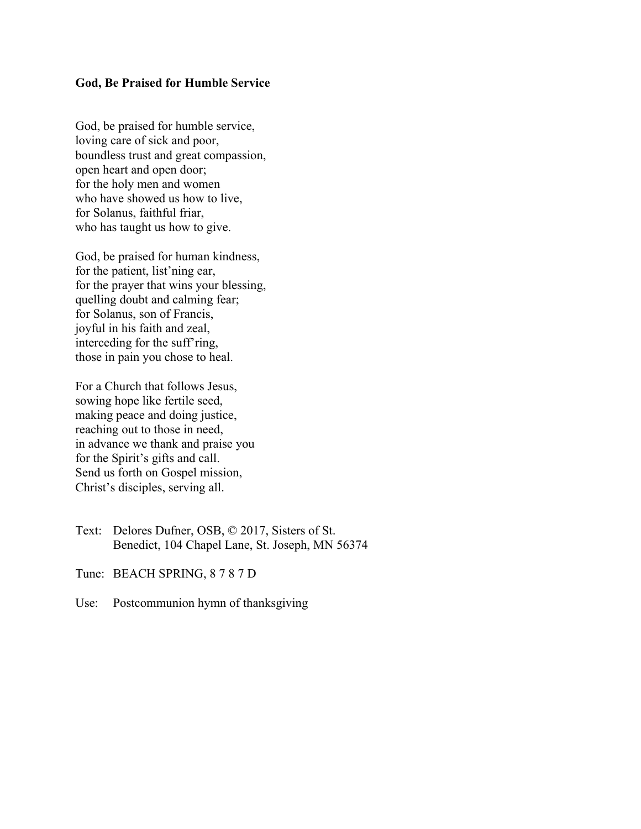# **God, Be Praised for Humble Service**

God, be praised for humble service, loving care of sick and poor, boundless trust and great compassion, open heart and open door; for the holy men and women who have showed us how to live, for Solanus, faithful friar, who has taught us how to give.

God, be praised for human kindness, for the patient, list'ning ear, for the prayer that wins your blessing, quelling doubt and calming fear; for Solanus, son of Francis, joyful in his faith and zeal, interceding for the suff'ring, those in pain you chose to heal.

For a Church that follows Jesus, sowing hope like fertile seed, making peace and doing justice, reaching out to those in need, in advance we thank and praise you for the Spirit's gifts and call. Send us forth on Gospel mission, Christ's disciples, serving all.

Text: Delores Dufner, OSB, © 2017, Sisters of St. Benedict, 104 Chapel Lane, St. Joseph, MN 56374

Tune: BEACH SPRING, 8 7 8 7 D

Use: Postcommunion hymn of thanksgiving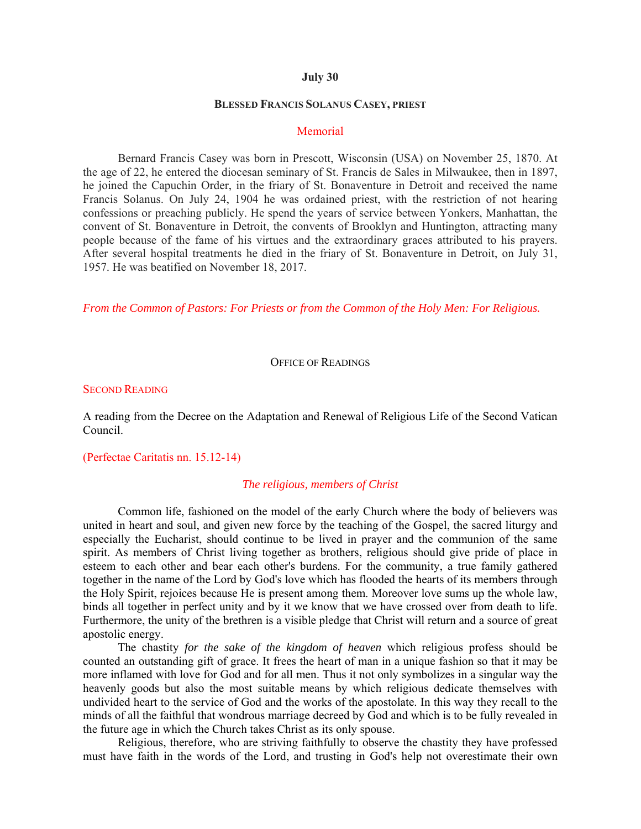#### **July 30**

#### **BLESSED FRANCIS SOLANUS CASEY, PRIEST**

#### Memorial

Bernard Francis Casey was born in Prescott, Wisconsin (USA) on November 25, 1870. At the age of 22, he entered the diocesan seminary of St. Francis de Sales in Milwaukee, then in 1897, he joined the Capuchin Order, in the friary of St. Bonaventure in Detroit and received the name Francis Solanus. On July 24, 1904 he was ordained priest, with the restriction of not hearing confessions or preaching publicly. He spend the years of service between Yonkers, Manhattan, the convent of St. Bonaventure in Detroit, the convents of Brooklyn and Huntington, attracting many people because of the fame of his virtues and the extraordinary graces attributed to his prayers. After several hospital treatments he died in the friary of St. Bonaventure in Detroit, on July 31, 1957. He was beatified on November 18, 2017.

*From the Common of Pastors: For Priests or from the Common of the Holy Men: For Religious.* 

## OFFICE OF READINGS

#### SECOND READING

A reading from the Decree on the Adaptation and Renewal of Religious Life of the Second Vatican Council.

(Perfectae Caritatis nn. 15.12-14)

## *The religious, members of Christ*

Common life, fashioned on the model of the early Church where the body of believers was united in heart and soul, and given new force by the teaching of the Gospel, the sacred liturgy and especially the Eucharist, should continue to be lived in prayer and the communion of the same spirit. As members of Christ living together as brothers, religious should give pride of place in esteem to each other and bear each other's burdens. For the community, a true family gathered together in the name of the Lord by God's love which has flooded the hearts of its members through the Holy Spirit, rejoices because He is present among them. Moreover love sums up the whole law, binds all together in perfect unity and by it we know that we have crossed over from death to life. Furthermore, the unity of the brethren is a visible pledge that Christ will return and a source of great apostolic energy.

The chastity *for the sake of the kingdom of heaven* which religious profess should be counted an outstanding gift of grace. It frees the heart of man in a unique fashion so that it may be more inflamed with love for God and for all men. Thus it not only symbolizes in a singular way the heavenly goods but also the most suitable means by which religious dedicate themselves with undivided heart to the service of God and the works of the apostolate. In this way they recall to the minds of all the faithful that wondrous marriage decreed by God and which is to be fully revealed in the future age in which the Church takes Christ as its only spouse.

Religious, therefore, who are striving faithfully to observe the chastity they have professed must have faith in the words of the Lord, and trusting in God's help not overestimate their own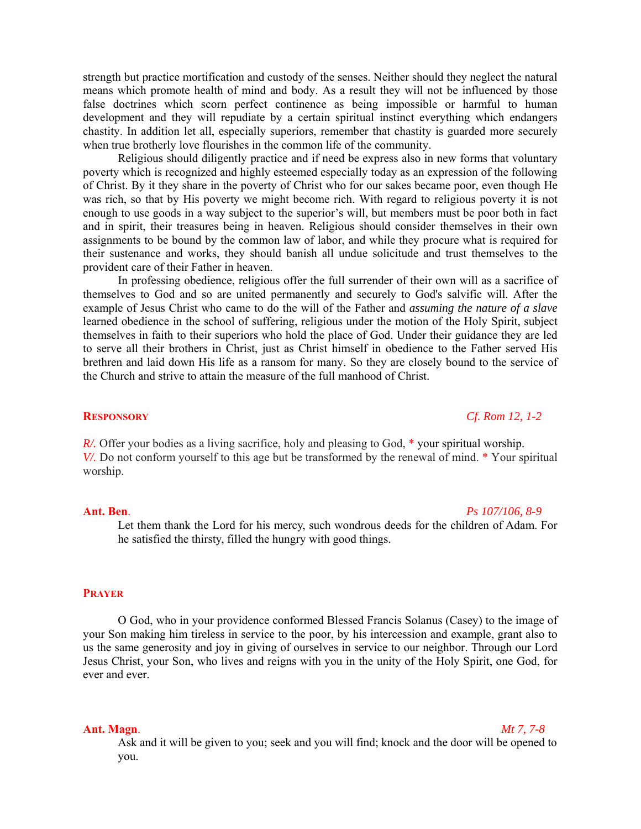strength but practice mortification and custody of the senses. Neither should they neglect the natural means which promote health of mind and body. As a result they will not be influenced by those false doctrines which scorn perfect continence as being impossible or harmful to human development and they will repudiate by a certain spiritual instinct everything which endangers chastity. In addition let all, especially superiors, remember that chastity is guarded more securely when true brotherly love flourishes in the common life of the community.

Religious should diligently practice and if need be express also in new forms that voluntary poverty which is recognized and highly esteemed especially today as an expression of the following of Christ. By it they share in the poverty of Christ who for our sakes became poor, even though He was rich, so that by His poverty we might become rich. With regard to religious poverty it is not enough to use goods in a way subject to the superior's will, but members must be poor both in fact and in spirit, their treasures being in heaven. Religious should consider themselves in their own assignments to be bound by the common law of labor, and while they procure what is required for their sustenance and works, they should banish all undue solicitude and trust themselves to the provident care of their Father in heaven.

In professing obedience, religious offer the full surrender of their own will as a sacrifice of themselves to God and so are united permanently and securely to God's salvific will. After the example of Jesus Christ who came to do the will of the Father and *assuming the nature of a slave* learned obedience in the school of suffering, religious under the motion of the Holy Spirit, subject themselves in faith to their superiors who hold the place of God. Under their guidance they are led to serve all their brothers in Christ, just as Christ himself in obedience to the Father served His brethren and laid down His life as a ransom for many. So they are closely bound to the service of the Church and strive to attain the measure of the full manhood of Christ.

### **RESPONSORY** *Cf. Rom 12, 1-2*

*R*. Offer your bodies as a living sacrifice, holy and pleasing to God, \* your spiritual worship. *V*/. Do not conform yourself to this age but be transformed by the renewal of mind. \* Your spiritual worship.

## **Ant. Ben**. *Ps 107/106, 8-9*

Let them thank the Lord for his mercy, such wondrous deeds for the children of Adam. For he satisfied the thirsty, filled the hungry with good things.

## **PRAYER**

O God, who in your providence conformed Blessed Francis Solanus (Casey) to the image of your Son making him tireless in service to the poor, by his intercession and example, grant also to us the same generosity and joy in giving of ourselves in service to our neighbor. Through our Lord Jesus Christ, your Son, who lives and reigns with you in the unity of the Holy Spirit, one God, for ever and ever.

#### **Ant. Magn**. *Mt 7, 7-8*

Ask and it will be given to you; seek and you will find; knock and the door will be opened to you.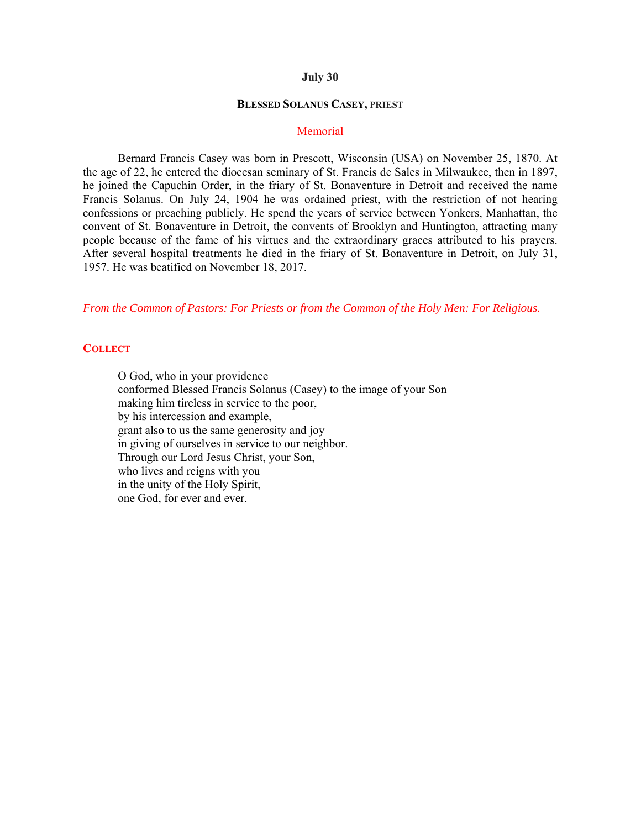### **July 30**

#### **BLESSED SOLANUS CASEY, PRIEST**

#### Memorial

Bernard Francis Casey was born in Prescott, Wisconsin (USA) on November 25, 1870. At the age of 22, he entered the diocesan seminary of St. Francis de Sales in Milwaukee, then in 1897, he joined the Capuchin Order, in the friary of St. Bonaventure in Detroit and received the name Francis Solanus. On July 24, 1904 he was ordained priest, with the restriction of not hearing confessions or preaching publicly. He spend the years of service between Yonkers, Manhattan, the convent of St. Bonaventure in Detroit, the convents of Brooklyn and Huntington, attracting many people because of the fame of his virtues and the extraordinary graces attributed to his prayers. After several hospital treatments he died in the friary of St. Bonaventure in Detroit, on July 31, 1957. He was beatified on November 18, 2017.

*From the Common of Pastors: For Priests or from the Common of the Holy Men: For Religious.* 

## **COLLECT**

O God, who in your providence conformed Blessed Francis Solanus (Casey) to the image of your Son making him tireless in service to the poor, by his intercession and example, grant also to us the same generosity and joy in giving of ourselves in service to our neighbor. Through our Lord Jesus Christ, your Son, who lives and reigns with you in the unity of the Holy Spirit, one God, for ever and ever.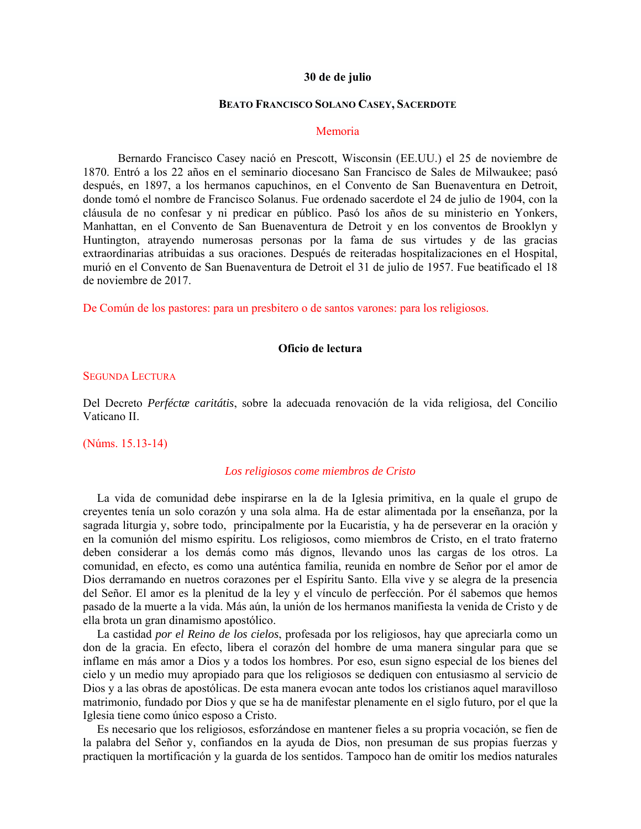#### **30 de de julio**

#### **BEATO FRANCISCO SOLANO CASEY, SACERDOTE**

### Memoria

Bernardo Francisco Casey nació en Prescott, Wisconsin (EE.UU.) el 25 de noviembre de 1870. Entró a los 22 años en el seminario diocesano San Francisco de Sales de Milwaukee; pasó después, en 1897, a los hermanos capuchinos, en el Convento de San Buenaventura en Detroit, donde tomó el nombre de Francisco Solanus. Fue ordenado sacerdote el 24 de julio de 1904, con la cláusula de no confesar y ni predicar en público. Pasó los años de su ministerio en Yonkers, Manhattan, en el Convento de San Buenaventura de Detroit y en los conventos de Brooklyn y Huntington, atrayendo numerosas personas por la fama de sus virtudes y de las gracias extraordinarias atribuidas a sus oraciones. Después de reiteradas hospitalizaciones en el Hospital, murió en el Convento de San Buenaventura de Detroit el 31 de julio de 1957. Fue beatificado el 18 de noviembre de 2017.

De Común de los pastores: para un presbitero o de santos varones: para los religiosos.

### **Oficio de lectura**

#### SEGUNDA LECTURA

Del Decreto *Perféctæ caritátis*, sobre la adecuada renovación de la vida religiosa, del Concilio Vaticano II.

(Núms. 15.13-14)

## *Los religiosos come miembros de Cristo*

La vida de comunidad debe inspirarse en la de la Iglesia primitiva, en la quale el grupo de creyentes tenía un solo corazón y una sola alma. Ha de estar alimentada por la enseñanza, por la sagrada liturgia y, sobre todo, principalmente por la Eucaristía, y ha de perseverar en la oración y en la comunión del mismo espíritu. Los religiosos, como miembros de Cristo, en el trato fraterno deben considerar a los demás como más dignos, llevando unos las cargas de los otros. La comunidad, en efecto, es como una auténtica familia, reunida en nombre de Señor por el amor de Dios derramando en nuetros corazones per el Espíritu Santo. Ella vive y se alegra de la presencia del Señor. El amor es la plenitud de la ley y el vínculo de perfección. Por él sabemos que hemos pasado de la muerte a la vida. Más aún, la unión de los hermanos manifiesta la venida de Cristo y de ella brota un gran dinamismo apostólico.

La castidad *por el Reino de los cielos*, profesada por los religiosos, hay que apreciarla como un don de la gracia. En efecto, libera el corazón del hombre de uma manera singular para que se inflame en más amor a Dios y a todos los hombres. Por eso, esun signo especial de los bienes del cielo y un medio muy apropiado para que los religiosos se dediquen con entusiasmo al servicio de Dios y a las obras de apostólicas. De esta manera evocan ante todos los cristianos aquel maravilloso matrimonio, fundado por Dios y que se ha de manifestar plenamente en el siglo futuro, por el que la Iglesia tiene como único esposo a Cristo.

Es necesario que los religiosos, esforzándose en mantener fieles a su propria vocación, se fíen de la palabra del Señor y, confiandos en la ayuda de Dios, non presuman de sus propias fuerzas y practiquen la mortificación y la guarda de los sentidos. Tampoco han de omitir los medios naturales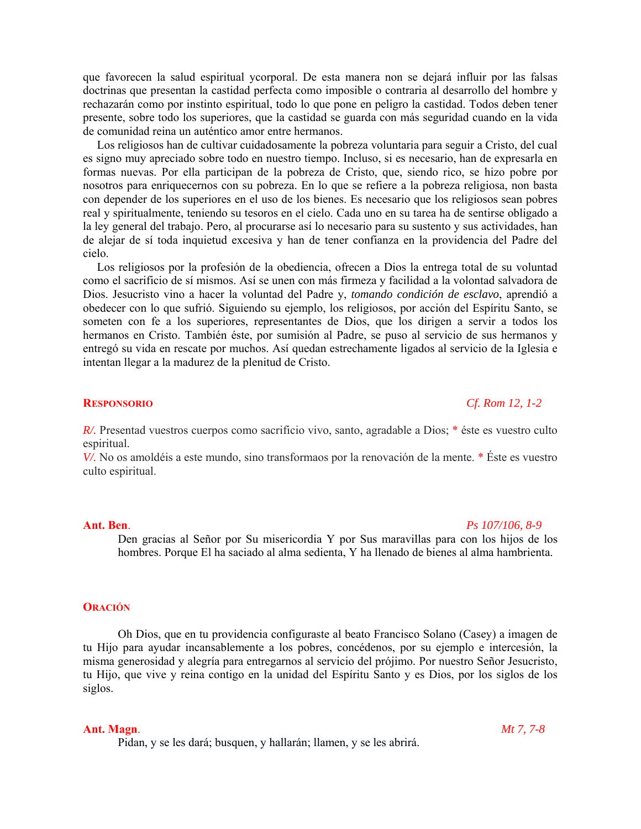que favorecen la salud espiritual ycorporal. De esta manera non se dejará influir por las falsas doctrinas que presentan la castidad perfecta como imposible o contraria al desarrollo del hombre y rechazarán como por instinto espiritual, todo lo que pone en peligro la castidad. Todos deben tener presente, sobre todo los superiores, que la castidad se guarda con más seguridad cuando en la vida de comunidad reina un auténtico amor entre hermanos.

Los religiosos han de cultivar cuidadosamente la pobreza voluntaria para seguir a Cristo, del cual es signo muy apreciado sobre todo en nuestro tiempo. Incluso, si es necesario, han de expresarla en formas nuevas. Por ella participan de la pobreza de Cristo, que, siendo rico, se hizo pobre por nosotros para enriquecernos con su pobreza. En lo que se refiere a la pobreza religiosa, non basta con depender de los superiores en el uso de los bienes. Es necesario que los religiosos sean pobres real y spiritualmente, teniendo su tesoros en el cielo. Cada uno en su tarea ha de sentirse obligado a la ley general del trabajo. Pero, al procurarse así lo necesario para su sustento y sus actividades, han de alejar de sí toda inquietud excesiva y han de tener confianza en la providencia del Padre del cielo.

Los religiosos por la profesión de la obediencia, ofrecen a Dios la entrega total de su voluntad como el sacrificio de sí mismos. Así se unen con más firmeza y facilidad a la volontad salvadora de Dios. Jesucristo vino a hacer la voluntad del Padre y, *tomando condición de esclavo*, aprendió a obedecer con lo que sufrió. Siguiendo su ejemplo, los religiosos, por acción del Espíritu Santo, se someten con fe a los superiores, representantes de Dios, que los dirigen a servir a todos los hermanos en Cristo. También éste, por sumisión al Padre, se puso al servicio de sus hermanos y entregó su vida en rescate por muchos. Así quedan estrechamente ligados al servicio de la Iglesia e intentan llegar a la madurez de la plenitud de Cristo.

# **RESPONSORIO** *Cf. Rom 12, 1-2*

*R/.* Presentad vuestros cuerpos como sacrificio vivo, santo, agradable a Dios; \* éste es vuestro culto espiritual.

*V*/. No os amoldéis a este mundo, sino transformaos por la renovación de la mente. \* Éste es vuestro culto espiritual.

#### **Ant. Ben**. *Ps 107/106, 8-9*

Den gracias al Señor por Su misericordia Y por Sus maravillas para con los hijos de los hombres. Porque El ha saciado al alma sedienta, Y ha llenado de bienes al alma hambrienta.

## **ORACIÓN**

Oh Dios, que en tu providencia configuraste al beato Francisco Solano (Casey) a imagen de tu Hijo para ayudar incansablemente a los pobres, concédenos, por su ejemplo e intercesión, la misma generosidad y alegría para entregarnos al servicio del prójimo. Por nuestro Señor Jesucristo, tu Hijo, que vive y reina contigo en la unidad del Espíritu Santo y es Dios, por los siglos de los siglos.

## **Ant. Magn**. *Mt 7, 7-8*

Pidan, y se les dará; busquen, y hallarán; llamen, y se les abrirá.